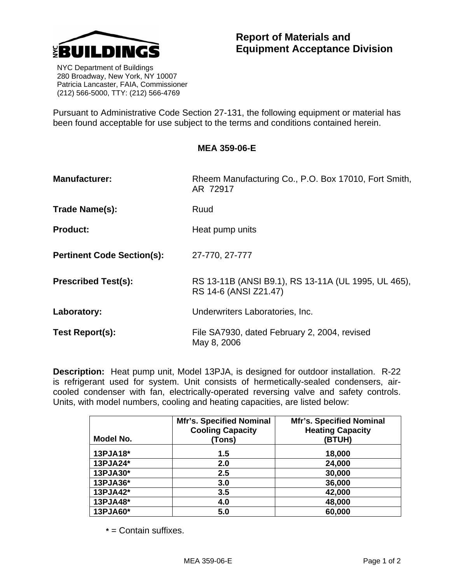

 NYC Department of Buildings 280 Broadway, New York, NY 10007 Patricia Lancaster, FAIA, Commissioner (212) 566-5000, TTY: (212) 566-4769

Pursuant to Administrative Code Section 27-131, the following equipment or material has been found acceptable for use subject to the terms and conditions contained herein.

| MEA 359-06-E |  |
|--------------|--|
|--------------|--|

| <b>Manufacturer:</b>              | Rheem Manufacturing Co., P.O. Box 17010, Fort Smith,<br>AR 72917             |  |
|-----------------------------------|------------------------------------------------------------------------------|--|
| Trade Name(s):                    | Ruud                                                                         |  |
| <b>Product:</b>                   | Heat pump units                                                              |  |
| <b>Pertinent Code Section(s):</b> | 27-770, 27-777                                                               |  |
| <b>Prescribed Test(s):</b>        | RS 13-11B (ANSI B9.1), RS 13-11A (UL 1995, UL 465),<br>RS 14-6 (ANSI Z21.47) |  |
| Laboratory:                       | Underwriters Laboratories, Inc.                                              |  |
| Test Report(s):                   | File SA7930, dated February 2, 2004, revised<br>May 8, 2006                  |  |

**Description:** Heat pump unit, Model 13PJA, is designed for outdoor installation. R-22 is refrigerant used for system. Unit consists of hermetically-sealed condensers, aircooled condenser with fan, electrically-operated reversing valve and safety controls. Units, with model numbers, cooling and heating capacities, are listed below:

| Model No. | <b>Mfr's. Specified Nominal</b><br><b>Cooling Capacity</b><br>(Tons) | <b>Mfr's. Specified Nominal</b><br><b>Heating Capacity</b><br>(BTUH) |
|-----------|----------------------------------------------------------------------|----------------------------------------------------------------------|
| 13PJA18*  | 1.5                                                                  | 18,000                                                               |
| 13PJA24*  | 2.0                                                                  | 24,000                                                               |
| 13PJA30*  | 2.5                                                                  | 30,000                                                               |
| 13PJA36*  | 3.0                                                                  | 36,000                                                               |
| 13PJA42*  | 3.5                                                                  | 42,000                                                               |
| 13PJA48*  | 4.0                                                                  | 48,000                                                               |
| 13PJA60*  | 5.0                                                                  | 60,000                                                               |

 **\*** = Contain suffixes.